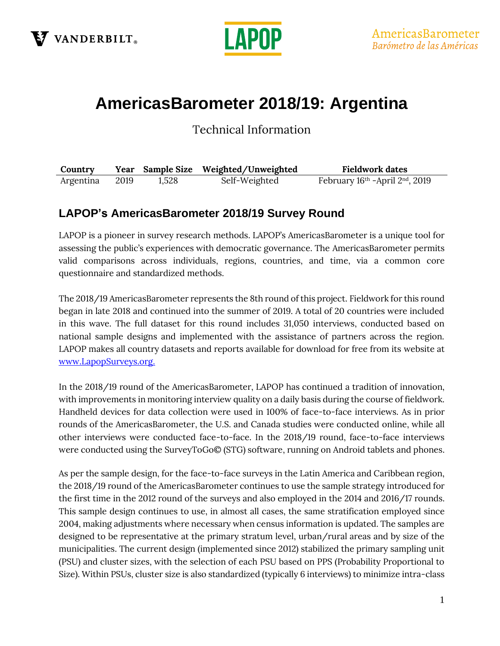



# **AmericasBarometer 2018/19: Argentina**

Technical Information

| Country   |      |       | Year Sample Size Weighted/Unweighted | <b>Fieldwork dates</b>          |
|-----------|------|-------|--------------------------------------|---------------------------------|
| Argentina | 2019 | 1,528 | Self-Weighted                        | February 16th - April 2nd, 2019 |

### **LAPOP's AmericasBarometer 2018/19 Survey Round**

LAPOP is a pioneer in survey research methods. LAPOP's AmericasBarometer is a unique tool for assessing the public's experiences with democratic governance. The AmericasBarometer permits valid comparisons across individuals, regions, countries, and time, via a common core questionnaire and standardized methods.

The 2018/19 AmericasBarometer represents the 8th round of this project. Fieldwork for this round began in late 2018 and continued into the summer of 2019. A total of 20 countries were included in this wave. The full dataset for this round includes 31,050 interviews, conducted based on national sample designs and implemented with the assistance of partners across the region. LAPOP makes all country datasets and reports available for download for free from its website at [www.LapopSurveys.org.](http://www.lapopsurveys.org/)

In the 2018/19 round of the AmericasBarometer, LAPOP has continued a tradition of innovation, with improvements in monitoring interview quality on a daily basis during the course of fieldwork. Handheld devices for data collection were used in 100% of face-to-face interviews. As in prior rounds of the AmericasBarometer, the U.S. and Canada studies were conducted online, while all other interviews were conducted face-to-face. In the 2018/19 round, face-to-face interviews were conducted using the SurveyToGo© (STG) software, running on Android tablets and phones.

As per the sample design, for the face-to-face surveys in the Latin America and Caribbean region, the 2018/19 round of the AmericasBarometer continues to use the sample strategy introduced for the first time in the 2012 round of the surveys and also employed in the 2014 and 2016/17 rounds. This sample design continues to use, in almost all cases, the same stratification employed since 2004, making adjustments where necessary when census information is updated. The samples are designed to be representative at the primary stratum level, urban/rural areas and by size of the municipalities. The current design (implemented since 2012) stabilized the primary sampling unit (PSU) and cluster sizes, with the selection of each PSU based on PPS (Probability Proportional to Size). Within PSUs, cluster size is also standardized (typically 6 interviews) to minimize intra-class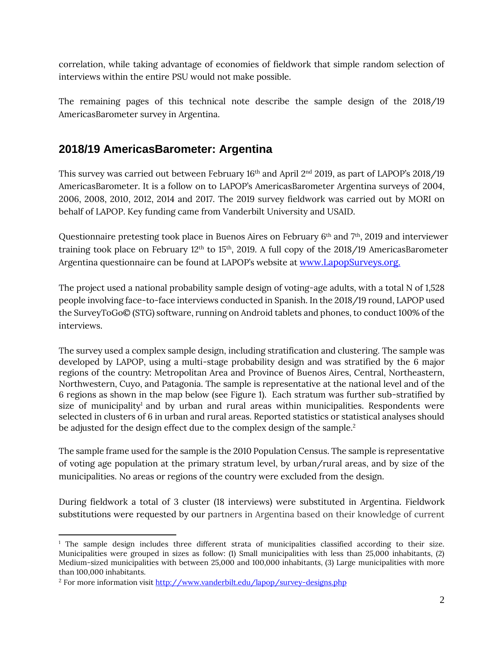correlation, while taking advantage of economies of fieldwork that simple random selection of interviews within the entire PSU would not make possible.

The remaining pages of this technical note describe the sample design of the 2018/19 AmericasBarometer survey in Argentina.

## **2018/19 AmericasBarometer: Argentina**

This survey was carried out between February 16<sup>th</sup> and April 2<sup>nd</sup> 2019, as part of LAPOP's 2018/19 AmericasBarometer. It is a follow on to LAPOP's AmericasBarometer Argentina surveys of 2004, 2006, 2008, 2010, 2012, 2014 and 2017. The 2019 survey fieldwork was carried out by MORI on behalf of LAPOP. Key funding came from Vanderbilt University and USAID.

Questionnaire pretesting took place in Buenos Aires on February 6<sup>th</sup> and 7<sup>th</sup>, 2019 and interviewer training took place on February 12<sup>th</sup> to 15<sup>th</sup>, 2019. A full copy of the 2018/19 AmericasBarometer Argentina questionnaire can be found at LAPOP's website at [www.LapopSurveys.org.](http://www.lapopsurveys.org/)

The project used a national probability sample design of voting-age adults, with a total N of 1,528 people involving face-to-face interviews conducted in Spanish. In the 2018/19 round, LAPOP used the SurveyToGo© (STG) software, running on Android tablets and phones, to conduct 100% of the interviews.

The survey used a complex sample design, including stratification and clustering. The sample was developed by LAPOP, using a multi-stage probability design and was stratified by the 6 major regions of the country: Metropolitan Area and Province of Buenos Aires, Central, Northeastern, Northwestern, Cuyo, and Patagonia. The sample is representative at the national level and of the 6 regions as shown in the map below (see Figure 1). Each stratum was further sub-stratified by size of municipality<sup>1</sup> and by urban and rural areas within municipalities. Respondents were selected in clusters of 6 in urban and rural areas. Reported statistics or statistical analyses should be adjusted for the design effect due to the complex design of the sample. 2

The sample frame used for the sample is the 2010 Population Census. The sample is representative of voting age population at the primary stratum level, by urban/rural areas, and by size of the municipalities. No areas or regions of the country were excluded from the design.

During fieldwork a total of 3 cluster (18 interviews) were substituted in Argentina. Fieldwork substitutions were requested by our partners in Argentina based on their knowledge of current

<sup>&</sup>lt;sup>1</sup> The sample design includes three different strata of municipalities classified according to their size. Municipalities were grouped in sizes as follow: (1) Small municipalities with less than 25,000 inhabitants, (2) Medium-sized municipalities with between 25,000 and 100,000 inhabitants, (3) Large municipalities with more than 100,000 inhabitants.

<sup>2</sup> For more information visi[t http://www.vanderbilt.edu/lapop/survey-designs.php](http://www.vanderbilt.edu/lapop/survey-designs.php)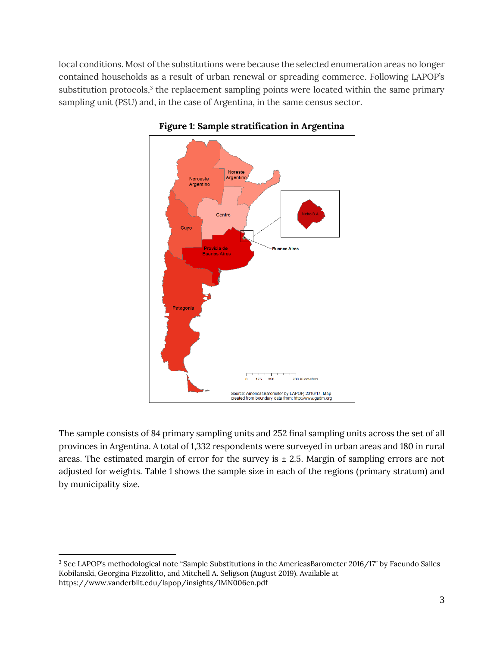local conditions. Most of the substitutions were because the selected enumeration areas no longer contained households as a result of urban renewal or spreading commerce. Following LAPOP's substitution protocols,<sup>3</sup> the replacement sampling points were located within the same primary sampling unit (PSU) and, in the case of Argentina, in the same census sector.



#### **Figure 1: Sample stratification in Argentina**

The sample consists of 84 primary sampling units and 252 final sampling units across the set of all provinces in Argentina. A total of 1,332 respondents were surveyed in urban areas and 180 in rural areas. The estimated margin of error for the survey is  $\pm$  2.5. Margin of sampling errors are not adjusted for weights. Table 1 shows the sample size in each of the regions (primary stratum) and by municipality size.

<sup>3</sup> See LAPOP's methodological note "Sample Substitutions in the AmericasBarometer 2016/17" by Facundo Salles Kobilanski, Georgina Pizzolitto, and Mitchell A. Seligson (August 2019). Available at <https://www.vanderbilt.edu/lapop/insights/IMN006en.pdf>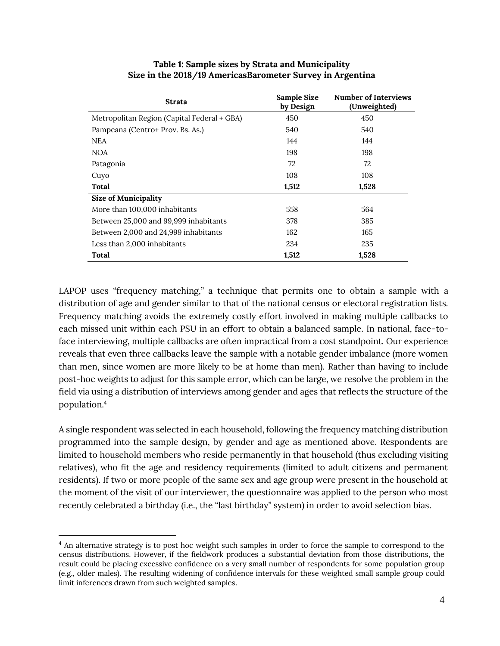| <b>Strata</b>                               | Sample Size<br>by Design | Number of Interviews<br>(Unweighted) |
|---------------------------------------------|--------------------------|--------------------------------------|
| Metropolitan Region (Capital Federal + GBA) | 450                      | 450                                  |
| Pampeana (Centro+ Prov. Bs. As.)            | 540                      | 540                                  |
| NEA                                         | 144                      | 144                                  |
| NOA                                         | 198                      | 198                                  |
| Patagonia                                   | 72                       | 72                                   |
| Cuyo                                        | 108                      | 108                                  |
| Total                                       | 1,512                    | 1,528                                |
| <b>Size of Municipality</b>                 |                          |                                      |
| More than 100,000 inhabitants               | 558                      | 564                                  |
| Between 25,000 and 99,999 inhabitants       | 378                      | 385                                  |
| Between 2,000 and 24,999 inhabitants        | 162                      | 165                                  |
| Less than 2,000 inhabitants                 | 234                      | 235                                  |
| Total                                       | 1,512                    | 1,528                                |

#### **Table 1: Sample sizes by Strata and Municipality Size in the 2018/19 AmericasBarometer Survey in Argentina**

LAPOP uses "frequency matching," a technique that permits one to obtain a sample with a distribution of age and gender similar to that of the national census or electoral registration lists. Frequency matching avoids the extremely costly effort involved in making multiple callbacks to each missed unit within each PSU in an effort to obtain a balanced sample. In national, face-toface interviewing, multiple callbacks are often impractical from a cost standpoint. Our experience reveals that even three callbacks leave the sample with a notable gender imbalance (more women than men, since women are more likely to be at home than men). Rather than having to include post-hoc weights to adjust for this sample error, which can be large, we resolve the problem in the field via using a distribution of interviews among gender and ages that reflects the structure of the population.<sup>4</sup>

A single respondent was selected in each household, following the frequency matching distribution programmed into the sample design, by gender and age as mentioned above. Respondents are limited to household members who reside permanently in that household (thus excluding visiting relatives), who fit the age and residency requirements (limited to adult citizens and permanent residents). If two or more people of the same sex and age group were present in the household at the moment of the visit of our interviewer, the questionnaire was applied to the person who most recently celebrated a birthday (i.e., the "last birthday" system) in order to avoid selection bias.

<sup>&</sup>lt;sup>4</sup> An alternative strategy is to post hoc weight such samples in order to force the sample to correspond to the census distributions. However, if the fieldwork produces a substantial deviation from those distributions, the result could be placing excessive confidence on a very small number of respondents for some population group (e.g., older males). The resulting widening of confidence intervals for these weighted small sample group could limit inferences drawn from such weighted samples.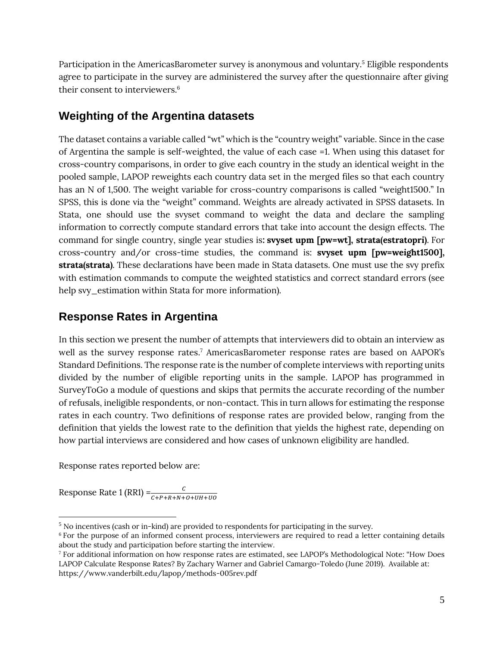Participation in the AmericasBarometer survey is anonymous and voluntary. <sup>5</sup> Eligible respondents agree to participate in the survey are administered the survey after the questionnaire after giving their consent to interviewers. 6

## **Weighting of the Argentina datasets**

The dataset contains a variable called "wt" which is the "country weight" variable. Since in the case of Argentina the sample is self-weighted, the value of each case =1. When using this dataset for cross-country comparisons, in order to give each country in the study an identical weight in the pooled sample, LAPOP reweights each country data set in the merged files so that each country has an N of 1,500. The weight variable for cross-country comparisons is called "weight1500." In SPSS, this is done via the "weight" command. Weights are already activated in SPSS datasets. In Stata, one should use the svyset command to weight the data and declare the sampling information to correctly compute standard errors that take into account the design effects. The command for single country, single year studies is**: svyset upm [pw=wt], strata(estratopri)**. For cross-country and/or cross-time studies, the command is: **svyset upm [pw=weight1500], strata(strata)**. These declarations have been made in Stata datasets. One must use the svy prefix with estimation commands to compute the weighted statistics and correct standard errors (see help svy\_estimation within Stata for more information).

## **Response Rates in Argentina**

In this section we present the number of attempts that interviewers did to obtain an interview as well as the survey response rates. <sup>7</sup> AmericasBarometer response rates are based on AAPOR's Standard Definitions. The response rate is the number of complete interviews with reporting units divided by the number of eligible reporting units in the sample. LAPOP has programmed in SurveyToGo a module of questions and skips that permits the accurate recording of the number of refusals, ineligible respondents, or non-contact. This in turn allows for estimating the response rates in each country. Two definitions of response rates are provided below, ranging from the definition that yields the lowest rate to the definition that yields the highest rate, depending on how partial interviews are considered and how cases of unknown eligibility are handled.

Response rates reported below are:

Response Rate 1 (RR1) = $\frac{c}{c + P + R + N + O + UH + UO}$ 

<sup>5</sup> No incentives (cash or in-kind) are provided to respondents for participating in the survey.

<sup>&</sup>lt;sup>6</sup> For the purpose of an informed consent process, interviewers are required to read a letter containing details about the study and participation before starting the interview.

<sup>7</sup> For additional information on how response rates are estimated, see LAPOP's Methodological Note: "How Does LAPOP Calculate Response Rates? By Zachary Warner and Gabriel Camargo-Toledo (June 2019). Available at: <https://www.vanderbilt.edu/lapop/methods-005rev.pdf>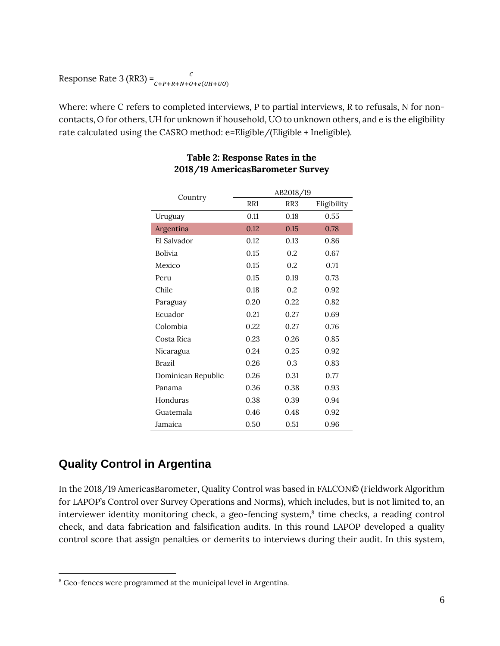# Response Rate 3 (RR3) =  $\frac{c}{c + P + R + N + O + e(UH + UO)}$

Where: where C refers to completed interviews, P to partial interviews, R to refusals, N for noncontacts, O for others, UH for unknown if household, UO to unknown others, and e is the eligibility rate calculated using the CASRO method: e=Eligible/(Eligible + Ineligible).

|                    | AB2018/19       |                 |             |  |
|--------------------|-----------------|-----------------|-------------|--|
| Country            | RR <sub>1</sub> | RR <sub>3</sub> | Eligibility |  |
| Uruguay            | 0.11            | 0.18            | 0.55        |  |
| Argentina          | 0.12            | 0.15            | 0.78        |  |
| El Salvador        | 0.12            | 0.13            | 0.86        |  |
| Bolivia            | 0.15            | 0.2             | 0.67        |  |
| Mexico             | 0.15            | 0.2             | 0.71        |  |
| Peru               | 0.15            | 0.19            | 0.73        |  |
| Chile              | 0.18            | 0.2             | 0.92        |  |
| Paraguay           | 0.20            | 0.22            | 0.82        |  |
| Ecuador            | 0.21            | 0.27            | 0.69        |  |
| Colombia           | 0.22            | 0.27            | 0.76        |  |
| Costa Rica         | 0.23            | 0.26            | 0.85        |  |
| Nicaragua          | 0.24            | 0.25            | 0.92        |  |
| <b>Brazil</b>      | 0.26            | 0.3             | 0.83        |  |
| Dominican Republic | 0.26            | 0.31            | 0.77        |  |
| Panama             | 0.36            | 0.38            | 0.93        |  |
| Honduras           | 0.38            | 0.39            | 0.94        |  |
| Guatemala          | 0.46            | 0.48            | 0.92        |  |
| Jamaica            | 0.50            | 0.51            | 0.96        |  |

#### **Table 2: Response Rates in the 2018/19 AmericasBarometer Survey**

# **Quality Control in Argentina**

In the 2018/19 AmericasBarometer, Quality Control was based in FALCON© (Fieldwork Algorithm for LAPOP's Control over Survey Operations and Norms), which includes, but is not limited to, an interviewer identity monitoring check, a geo-fencing system, 8 time checks, a reading control check, and data fabrication and falsification audits. In this round LAPOP developed a quality control score that assign penalties or demerits to interviews during their audit. In this system,

<sup>8</sup> Geo-fences were programmed at the municipal level in Argentina.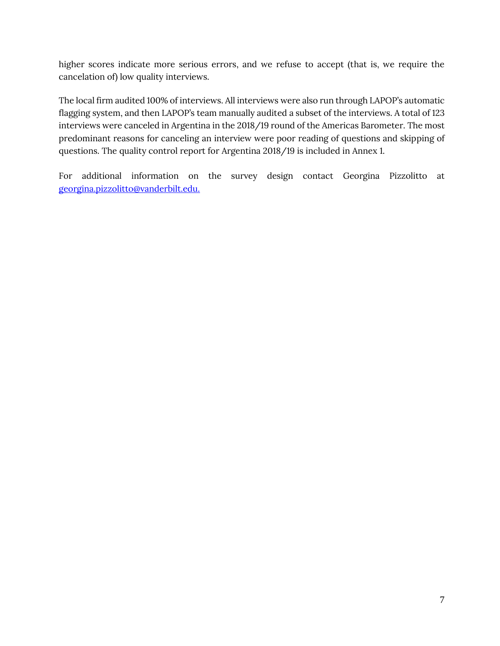higher scores indicate more serious errors, and we refuse to accept (that is, we require the cancelation of) low quality interviews.

The local firm audited 100% of interviews. All interviews were also run through LAPOP's automatic flagging system, and then LAPOP's team manually audited a subset of the interviews. A total of 123 interviews were canceled in Argentina in the 2018/19 round of the Americas Barometer. The most predominant reasons for canceling an interview were poor reading of questions and skipping of questions. The quality control report for Argentina 2018/19 is included in Annex 1.

For additional information on the survey design contact Georgina Pizzolitto at [georgina.pizzolitto@vanderbilt.edu.](mailto:georgina.pizzolitto@vanderbilt.edu.)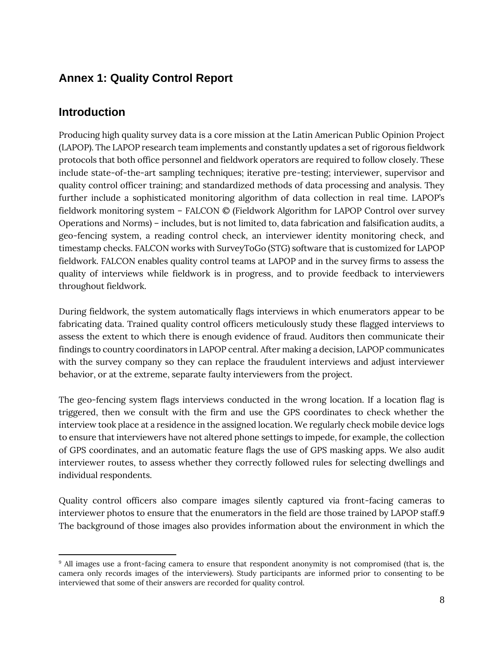# **Annex 1: Quality Control Report**

## **Introduction**

Producing high quality survey data is a core mission at the Latin American Public Opinion Project (LAPOP). The LAPOP research team implements and constantly updates a set of rigorous fieldwork protocols that both office personnel and fieldwork operators are required to follow closely. These include state-of-the-art sampling techniques; iterative pre-testing; interviewer, supervisor and quality control officer training; and standardized methods of data processing and analysis. They further include a sophisticated monitoring algorithm of data collection in real time. LAPOP's fieldwork monitoring system – FALCON © (Fieldwork Algorithm for LAPOP Control over survey Operations and Norms) – includes, but is not limited to, data fabrication and falsification audits, a geo-fencing system, a reading control check, an interviewer identity monitoring check, and timestamp checks. FALCON works with SurveyToGo (STG) software that is customized for LAPOP fieldwork. FALCON enables quality control teams at LAPOP and in the survey firms to assess the quality of interviews while fieldwork is in progress, and to provide feedback to interviewers throughout fieldwork.

During fieldwork, the system automatically flags interviews in which enumerators appear to be fabricating data. Trained quality control officers meticulously study these flagged interviews to assess the extent to which there is enough evidence of fraud. Auditors then communicate their findings to country coordinators in LAPOP central. After making a decision, LAPOP communicates with the survey company so they can replace the fraudulent interviews and adjust interviewer behavior, or at the extreme, separate faulty interviewers from the project.

The geo-fencing system flags interviews conducted in the wrong location. If a location flag is triggered, then we consult with the firm and use the GPS coordinates to check whether the interview took place at a residence in the assigned location. We regularly check mobile device logs to ensure that interviewers have not altered phone settings to impede, for example, the collection of GPS coordinates, and an automatic feature flags the use of GPS masking apps. We also audit interviewer routes, to assess whether they correctly followed rules for selecting dwellings and individual respondents.

Quality control officers also compare images silently captured via front-facing cameras to interviewer photos to ensure that the enumerators in the field are those trained by LAPOP staff.9 The background of those images also provides information about the environment in which the

<sup>9</sup> All images use a front-facing camera to ensure that respondent anonymity is not compromised (that is, the camera only records images of the interviewers). Study participants are informed prior to consenting to be interviewed that some of their answers are recorded for quality control.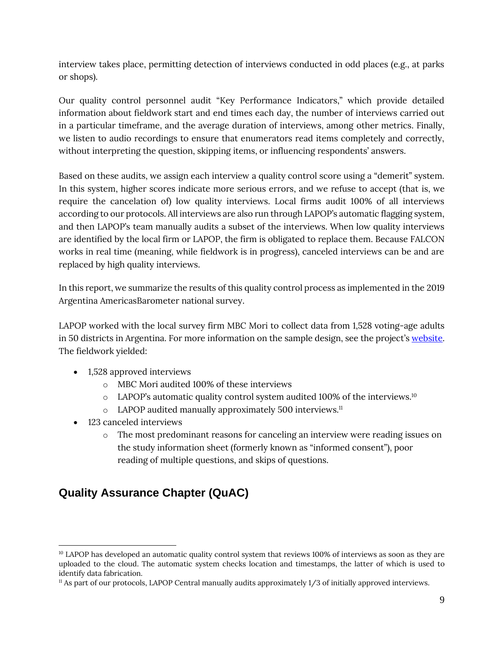interview takes place, permitting detection of interviews conducted in odd places (e.g., at parks or shops).

Our quality control personnel audit "Key Performance Indicators," which provide detailed information about fieldwork start and end times each day, the number of interviews carried out in a particular timeframe, and the average duration of interviews, among other metrics. Finally, we listen to audio recordings to ensure that enumerators read items completely and correctly, without interpreting the question, skipping items, or influencing respondents' answers.

Based on these audits, we assign each interview a quality control score using a "demerit" system. In this system, higher scores indicate more serious errors, and we refuse to accept (that is, we require the cancelation of) low quality interviews. Local firms audit 100% of all interviews according to our protocols. All interviews are also run through LAPOP's automatic flagging system, and then LAPOP's team manually audits a subset of the interviews. When low quality interviews are identified by the local firm or LAPOP, the firm is obligated to replace them. Because FALCON works in real time (meaning, while fieldwork is in progress), canceled interviews can be and are replaced by high quality interviews.

In this report, we summarize the results of this quality control process as implemented in the 2019 Argentina AmericasBarometer national survey.

LAPOP worked with the local survey firm MBC Mori to collect data from 1,528 voting-age adults in 50 districts in Argentina. For more information on the sample design, see the project's [website.](https://www.vanderbilt.edu/lapop/core-surveys.php) The fieldwork yielded:

- 1,528 approved interviews
	- o MBC Mori audited 100% of these interviews
	- $\circ$  LAPOP's automatic quality control system audited 100% of the interviews.<sup>10</sup>
	- o LAPOP audited manually approximately 500 interviews.<sup>11</sup>
- 123 canceled interviews
	- o The most predominant reasons for canceling an interview were reading issues on the study information sheet (formerly known as "informed consent"), poor reading of multiple questions, and skips of questions.

# **Quality Assurance Chapter (QuAC)**

<sup>&</sup>lt;sup>10</sup> LAPOP has developed an automatic quality control system that reviews 100% of interviews as soon as they are uploaded to the cloud. The automatic system checks location and timestamps, the latter of which is used to identify data fabrication.

<sup>11</sup> As part of our protocols, LAPOP Central manually audits approximately 1/3 of initially approved interviews.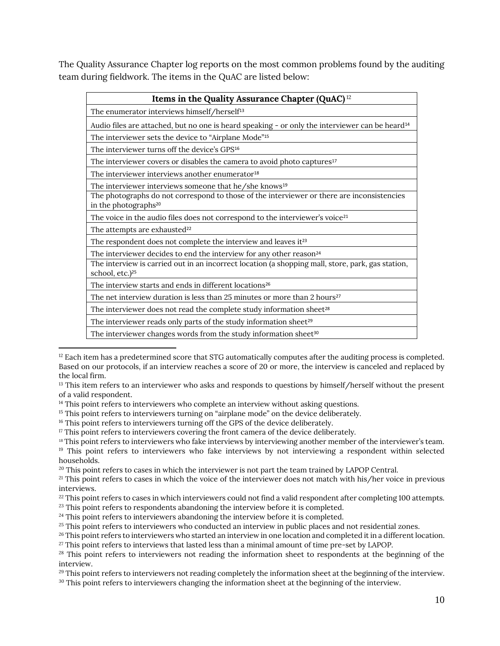The Quality Assurance Chapter log reports on the most common problems found by the auditing team during fieldwork. The items in the QuAC are listed below:

| Items in the Quality Assurance Chapter (QuAC) <sup>12</sup>                                                                      |  |  |  |
|----------------------------------------------------------------------------------------------------------------------------------|--|--|--|
| The enumerator interviews himself/herself <sup>13</sup>                                                                          |  |  |  |
| Audio files are attached, but no one is heard speaking - or only the interviewer can be heard <sup>14</sup>                      |  |  |  |
| The interviewer sets the device to "Airplane Mode" <sup>15</sup>                                                                 |  |  |  |
| The interviewer turns off the device's GPS <sup>16</sup>                                                                         |  |  |  |
| The interviewer covers or disables the camera to avoid photo captures <sup>17</sup>                                              |  |  |  |
| The interviewer interviews another enumerator <sup>18</sup>                                                                      |  |  |  |
| The interviewer interviews someone that he/she knows <sup>19</sup>                                                               |  |  |  |
| The photographs do not correspond to those of the interviewer or there are inconsistencies<br>in the photographs <sup>20</sup>   |  |  |  |
| The voice in the audio files does not correspond to the interviewer's voice <sup>21</sup>                                        |  |  |  |
| The attempts are exhausted <sup>22</sup>                                                                                         |  |  |  |
| The respondent does not complete the interview and leaves it <sup>23</sup>                                                       |  |  |  |
| The interviewer decides to end the interview for any other reason <sup>24</sup>                                                  |  |  |  |
| The interview is carried out in an incorrect location (a shopping mall, store, park, gas station,<br>school, etc.) <sup>25</sup> |  |  |  |
| The interview starts and ends in different locations <sup>26</sup>                                                               |  |  |  |
| The net interview duration is less than 25 minutes or more than 2 hours <sup>27</sup>                                            |  |  |  |
| The interviewer does not read the complete study information sheet <sup>28</sup>                                                 |  |  |  |
| The interviewer reads only parts of the study information sheet <sup>29</sup>                                                    |  |  |  |
| The interviewer changes words from the study information sheet <sup>30</sup>                                                     |  |  |  |

 $12$  Each item has a predetermined score that STG automatically computes after the auditing process is completed. Based on our protocols, if an interview reaches a score of 20 or more, the interview is canceled and replaced by the local firm.

<sup>&</sup>lt;sup>13</sup> This item refers to an interviewer who asks and responds to questions by himself/herself without the present of a valid respondent.

<sup>&</sup>lt;sup>14</sup> This point refers to interviewers who complete an interview without asking questions.

<sup>&</sup>lt;sup>15</sup> This point refers to interviewers turning on "airplane mode" on the device deliberately.

<sup>&</sup>lt;sup>16</sup> This point refers to interviewers turning off the GPS of the device deliberately.

<sup>&</sup>lt;sup>17</sup> This point refers to interviewers covering the front camera of the device deliberately.

<sup>&</sup>lt;sup>18</sup> This point refers to interviewers who fake interviews by interviewing another member of the interviewer's team. <sup>19</sup> This point refers to interviewers who fake interviews by not interviewing a respondent within selected

households.

<sup>&</sup>lt;sup>20</sup> This point refers to cases in which the interviewer is not part the team trained by LAPOP Central.

<sup>&</sup>lt;sup>21</sup> This point refers to cases in which the voice of the interviewer does not match with his/her voice in previous interviews.

<sup>&</sup>lt;sup>22</sup> This point refers to cases in which interviewers could not find a valid respondent after completing 100 attempts.

<sup>&</sup>lt;sup>23</sup> This point refers to respondents abandoning the interview before it is completed.

 $24$  This point refers to interviewers abandoning the interview before it is completed.

<sup>&</sup>lt;sup>25</sup> This point refers to interviewers who conducted an interview in public places and not residential zones.

<sup>&</sup>lt;sup>26</sup> This point refers to interviewers who started an interview in one location and completed it in a different location. <sup>27</sup> This point refers to interviews that lasted less than a minimal amount of time pre-set by LAPOP.

<sup>&</sup>lt;sup>28</sup> This point refers to interviewers not reading the information sheet to respondents at the beginning of the interview.

<sup>&</sup>lt;sup>29</sup> This point refers to interviewers not reading completely the information sheet at the beginning of the interview.

<sup>&</sup>lt;sup>30</sup> This point refers to interviewers changing the information sheet at the beginning of the interview.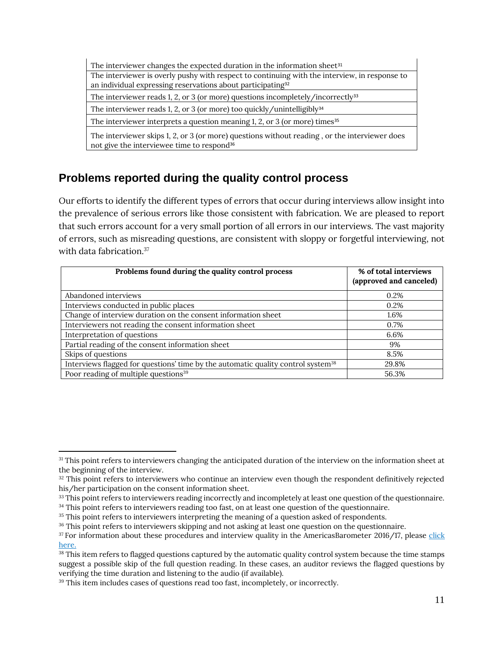| The interviewer changes the expected duration in the information sheet <sup>31</sup>                                                                                     |  |  |  |  |
|--------------------------------------------------------------------------------------------------------------------------------------------------------------------------|--|--|--|--|
| The interviewer is overly pushy with respect to continuing with the interview, in response to<br>an individual expressing reservations about participating <sup>32</sup> |  |  |  |  |
| The interviewer reads 1, 2, or 3 (or more) questions incompletely/incorrectly $33$                                                                                       |  |  |  |  |
| The interviewer reads 1, 2, or 3 (or more) too quickly/unintelligibly <sup>34</sup>                                                                                      |  |  |  |  |
| The interviewer interprets a question meaning 1, 2, or 3 (or more) times <sup>35</sup>                                                                                   |  |  |  |  |
| The interviewer skips 1, 2, or 3 (or more) questions without reading, or the interviewer does<br>not give the interviewee time to respond <sup>36</sup>                  |  |  |  |  |

# **Problems reported during the quality control process**

Our efforts to identify the different types of errors that occur during interviews allow insight into the prevalence of serious errors like those consistent with fabrication. We are pleased to report that such errors account for a very small portion of all errors in our interviews. The vast majority of errors, such as misreading questions, are consistent with sloppy or forgetful interviewing, not with data fabrication.<sup>37</sup>

| Problems found during the quality control process                                            | % of total interviews<br>(approved and canceled) |
|----------------------------------------------------------------------------------------------|--------------------------------------------------|
| Abandoned interviews                                                                         | 0.2%                                             |
| Interviews conducted in public places                                                        | 0.2%                                             |
| Change of interview duration on the consent information sheet                                | 1.6%                                             |
| Interviewers not reading the consent information sheet                                       | 0.7%                                             |
| Interpretation of questions                                                                  | 6.6%                                             |
| Partial reading of the consent information sheet                                             | 9%                                               |
| Skips of questions                                                                           | 8.5%                                             |
| Interviews flagged for questions' time by the automatic quality control system <sup>38</sup> | 29.8%                                            |
| Poor reading of multiple questions <sup>39</sup>                                             | 56.3%                                            |

<sup>&</sup>lt;sup>31</sup> This point refers to interviewers changing the anticipated duration of the interview on the information sheet at the beginning of the interview.

<sup>&</sup>lt;sup>32</sup> This point refers to interviewers who continue an interview even though the respondent definitively rejected his/her participation on the consent information sheet.

<sup>33</sup> This point refers to interviewers reading incorrectly and incompletely at least one question of the questionnaire.

<sup>&</sup>lt;sup>34</sup> This point refers to interviewers reading too fast, on at least one question of the questionnaire.

<sup>&</sup>lt;sup>35</sup> This point refers to interviewers interpreting the meaning of a question asked of respondents.

<sup>&</sup>lt;sup>36</sup> This point refers to interviewers skipping and not asking at least one question on the questionnaire.

<sup>&</sup>lt;sup>37</sup> For information about these procedures and interview quality in the AmericasBarometer 2016/17, please click [here.](https://www.vanderbilt.edu/lapop/insights/IMN002en.pdf)

<sup>&</sup>lt;sup>38</sup> This item refers to flagged questions captured by the automatic quality control system because the time stamps suggest a possible skip of the full question reading. In these cases, an auditor reviews the flagged questions by verifying the time duration and listening to the audio (if available).

<sup>&</sup>lt;sup>39</sup> This item includes cases of questions read too fast, incompletely, or incorrectly.